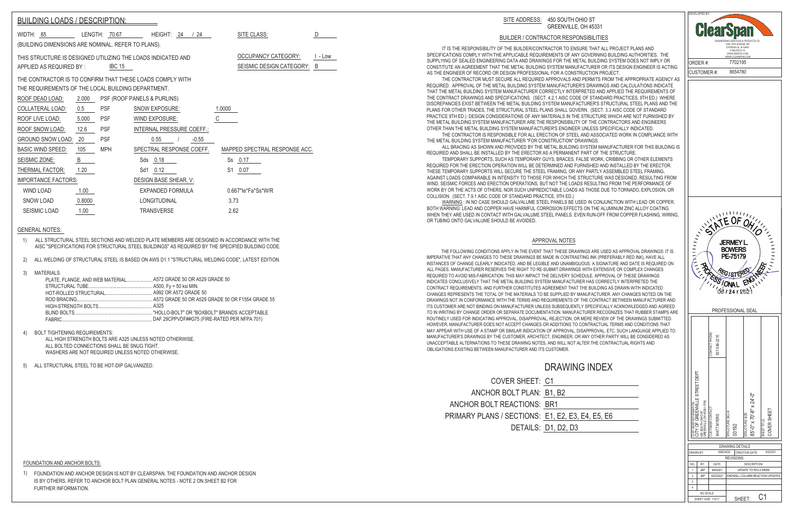C1

## GENERAL NOTES:

FOUNDATION AND ANCHOR BOLTS:

| <b>COVER SHEET: C1</b>                |                     |
|---------------------------------------|---------------------|
| ANCHOR BOLT PLAN: B1, B2              |                     |
| ANCHOR BOLT REACTIONS: BR1            |                     |
| PRIMARY PLANS / SECTIONS: E1, E2, E3, |                     |
|                                       | DETAILS: D1, D2, D3 |

## APPROVAL NOTES

 IT IS THE RESPONSIBILITY OF THE BUILDER/CONTRACTOR TO ENSURE THAT ALL PROJECT PLANS AND SPECIFICATIONS COMPLY WITH THE APPLICABLE REQUIREMENTS OF ANY GOVERNING BUILDING AUTHORITIES. THE SUPPLYING OF SEALED ENGINEERING DATA AND DRAWINGS FOR THE METAL BUILDING SYSTEM DOES NOT IMPLY OR CONSTITUTE AN AGREEMENT THAT THE METAL BUILDING SYSTEM MANUFACTURER OR ITS DESIGN ENGINEER IS ACTING AS THE ENGINEER OF RECORD OR DESIGN PROFESSIONAL FOR A CONSTRUCTION PROJECT.

 THE CONTRACTOR MUST SECURE ALL REQUIRED APPROVALS AND PERMITS FROM THE APPROPRIATE AGENCY AS REQUIRED. APPROVAL OF THE METAL BUILDING SYSTEM MANUFACTURER'S DRAWINGS AND CALCULATIONS INDICATE THAT THE METAL BUILDING SYSTEM MANUFACTURER CORRECTLY INTERPRETED AND APPLIED THE REQUIREMENTS OF THE CONTRACT DRAWINGS AND SPECIFICATIONS. (SECT. 4.2.1 AISC CODE OF STANDARD PRACTICES, 9TH ED.) WHERE DISCREPANCIES EXIST BETWEEN THE METAL BUILDING SYSTEM MANUFACTURER'S STRUCTURAL STEEL PLANS AND THE PLANS FOR OTHER TRADES, THE STRUCTURAL STEEL PLANS SHALL GOVERN. (SECT. 3.3 AISC CODE OF STANDARD PRACTICE 9TH ED.) DESIGN CONSIDERATIONS OF ANY MATERIALS IN THE STRUCTURE WHICH ARE NOT FURNISHED BY THE METAL BUILDING SYSTEM MANUFACTURER ARE THE RESPONSIBILITY OF THE CONTRACTORS AND ENGINEERS OTHER THAN THE METAL BUILDING SYSTEM MANUFACTURER'S ENGINEER UNLESS SPECIFICALLY INDICATED.

 THE CONTRACTOR IS RESPONSIBLE FOR ALL ERECTION OF STEEL AND ASSOCIATED WORK IN COMPLIANCE WITH THE METAL BUILDING SYSTEM MANUFACTURER "FOR CONSTRUCTION" DRAWINGS. ALL BRACING AS SHOWN AND PROVIDED BY THE METAL BUILDING SYSTEM MANUFACTURER FOR THIS BUILDING IS REQUIRED AND SHALL BE INSTALLED BY THE ERECTOR AS A PERMANENT PART OF THE STRUCTURE.

| <b>BUILDING LOADS / DESCRIPTION:</b>               |        |               |                                                              |                                         |
|----------------------------------------------------|--------|---------------|--------------------------------------------------------------|-----------------------------------------|
| WIDTH: 85                                          |        | LENGTH: 70.67 | HEIGHT: 24 / 24                                              | SITE CLASS:<br>D                        |
| (BUILDING DIMENSIONS ARE NOMINAL. REFER TO PLANS). |        |               |                                                              |                                         |
|                                                    |        |               | THIS STRUCTURE IS DESIGNED UTILIZING THE LOADS INDICATED AND | <b>OCCUPANCY CATEGORY:</b><br>$l - Low$ |
| APPLIED AS REQUIRED BY:                            |        | <b>IBC 15</b> |                                                              | SEISMIC DESIGN CATEGORY:<br>B           |
|                                                    |        |               | THE CONTRACTOR IS TO CONFIRM THAT THESE LOADS COMPLY WITH    |                                         |
| THE REQUIREMENTS OF THE LOCAL BUILDING DEPARTMENT. |        |               |                                                              |                                         |
| ROOF DEAD LOAD:                                    | 2.000  |               | PSF (ROOF PANELS & PURLINS)                                  |                                         |
| COLLATERAL LOAD:                                   | 0.5    | <b>PSF</b>    | SNOW EXPOSURE:                                               | 1.0000                                  |
| ROOF LIVE LOAD:                                    | 5.000  | <b>PSF</b>    | WIND EXPOSURE:                                               | C                                       |
| ROOF SNOW LOAD:                                    | 12.6   | <b>PSF</b>    | INTERNAL PRESSURE COEFF.:                                    |                                         |
| <b>GROUND SNOW LOAD:</b>                           | 20     | <b>PSF</b>    | 0.55<br>$-0.55$                                              |                                         |
| <b>BASIC WIND SPEED:</b>                           | 105    | <b>MPH</b>    | SPECTRAL RESPONSE COEFF.                                     | MAPPED SPECTRAL RESPONSE ACC.           |
| SEISMIC ZONE:                                      | B      |               | Sds 0.18                                                     | 0.17<br>Ss                              |
| THERMAL FACTOR:                                    | 1.20   |               | 0.12<br>Sd1                                                  | S <sub>1</sub><br>0.07                  |
| <b>IMPORTANCE FACTORS:</b>                         |        |               | DESIGN BASE SHEAR, V:                                        |                                         |
| <b>WIND LOAD</b>                                   | 1.00   |               | EXPANDED FORMULA                                             | 0.667*le*Fa*Ss*W/R                      |
| <b>SNOW LOAD</b>                                   | 0.8000 |               | <b>LONGITUDINAL</b>                                          | 3.73                                    |
| <b>SEISMIC LOAD</b>                                | 1.00   |               | <b>TRANSVERSE</b>                                            | 2.62                                    |

 TEMPORARY SUPPORTS, SUCH AS TEMPORARY GUYS, BRACES, FALSE WORK, CRIBBING OR OTHER ELEMENTS REQUIRED FOR THE ERECTION OPERATION WILL BE DETERMINED AND FURNISHED AND INSTALLED BY THE ERECTOR. THESE TEMPORARY SUPPORTS WILL SECURE THE STEEL FRAMING, OR ANY PARTLY ASSEMBLED STEEL FRAMING, AGAINST LOADS COMPARABLE IN INTENSITY TO THOSE FOR WHICH THE STRUCTURE WAS DESIGNED, RESULTING FROM WIND, SEISMIC FORCES AND ERECTION OPERATIONS, BUT NOT THE LOADS RESULTING FROM THE PERFORMANCE OF WORK BY OR THE ACTS OF OTHERS, NOR SUCH UNPREDICTABLE LOADS AS THOSE DUE TO TORNADO, EXPLOSION, OR COLLISION. (SECT. 7.9.1 AISC CODE OF STANDARD PRACTICE, 9TH ED.)

WARNING : IN NO CASE SHOULD GALVALUME STEEL PANELS BE USED IN CONJUNCTION WITH LEAD OR COPPER. BOTH WARNING: LEAD AND COPPER HAVE HARMFUL CORROSION EFFECTS ON THE ALUMINUM ZINC ALLOY COATING WHEN THEY ARE USED IN CONTACT WITH GALVALUME STEEL PANELS. EVEN RUN-OFF FROM COPPER FLASHING, WIRING, OR TUBING ONTO GALVALUME SHOULD BE AVOIDED.

 THE FOLLOWING CONDITIONS APPLY IN THE EVENT THAT THESE DRAWINGS ARE USED AS APPROVAL DRAWINGS: IT IS IMPERATIVE THAT ANY CHANGES TO THESE DRAWINGS BE MADE IN CONTRASTING INK (PREFERABLY RED INK), HAVE ALL INSTANCES OF CHANGE CLEARLY INDICATED, AND BE LEGIBLE AND UNAMBIGUOUS. A SIGNATURE AND DATE IS REQUIRED ON ALL PAGES. MANUFACTURER RESERVES THE RIGHT TO RE-SUBMIT DRAWINGS WITH EXTENSIVE OR COMPLEX CHANGES REQUIRED TO AVOID MIS-FABRICATION. THIS MAY IMPACT THE DELIVERY SCHEDULE. APPROVAL OF THESE DRAWINGS INDICATES CONCLUSIVELY THAT THE METAL BUILDING SYSTEM MANUFACTURER HAS CORRECTLY INTERPRETED THE CONTRACT REQUIREMENTS, AND FURTHER CONSTITUTES AGREEMENT THAT THE BUILDING AS DRAWN WITH INDICATED CHANGES REPRESENTS THE TOTAL OF THE MATERIALS TO BE SUPPLIED BY MANUFACTURER. ANY CHANGES NOTED ON THE DRAWINGS NOT IN CONFORMANCE WITH THE TERMS AND REQUIREMENTS OF THE CONTRACT BETWEEN MANUFACTURER AND ITS CUSTOMER ARE NOT BINDING ON MANUFACTURER UNLESS SUBSEQUENTLY SPECIFICALLY ACKNOWLEDGED AND AGREED TO IN WRITING BY CHANGE ORDER OR SEPARATE DOCUMENTATION. MANUFACTURER RECOGNIZES THAT RUBBER STAMPS ARE ROUTINELY USED FOR INDICATING APPROVAL, DISAPPROVAL, REJECTION, OR MERE REVIEW OF THE DRAWINGS SUBMITTED. HOWEVER, MANUFACTURER DOES NOT ACCEPT CHANGES OR ADDITIONS TO CONTRACTUAL TERMS AND CONDITIONS THAT MAY APPEAR WITH USE OF A STAMP OR SIMILAR INDICATION OF APPROVAL, DISAPPROVAL, ETC. SUCH LANGUAGE APPLIED TO MANUFACTURER'S DRAWINGS BY THE CUSTOMER, ARCHITECT, ENGINEER, OR ANY OTHER PARTY WILL BE CONSIDERED AS UNACCEPTABLE ALTERNATIONS TO THESE DRAWING NOTES, AND WILL NOT ALTER THE CONTRACTUAL RIGHTS AND OBLIGATIONS EXISTING BETWEEN MANUFACTURER AND ITS CUSTOMER.

## DRAWING INDEX

1) ALL STRUCTURAL STEEL SECTIONS AND WELDED PLATE MEMBERS ARE DESIGNED IN ACCORDANCE WITH THE AISC "SPECIFICATIONS FOR STRUCTURAL STEEL BUILDINGS" AS REQUIRED BY THE SPECIFIED BUILDING CODE.

2) ALL WELDING OF STRUCTURAL STEEL IS BASED ON AWS D1.1 "STRUCTURAL WELDING CODE", LATEST EDITION.

### 3) MATERIALS:

| PLATE. FLANGE. AND WEB MATERIAL A572 GRADE 50 OR A529 GRADE 50 |  |
|----------------------------------------------------------------|--|
|                                                                |  |
|                                                                |  |
|                                                                |  |
|                                                                |  |

4) BOLT TIGHTENING REQUIREMENTS:

ALL HIGH STRENGTH BOLTS ARE A325 UNLESS NOTED OTHERWISE. ALL BOLTED CONNECTIONS SHALL BE SNUG TIGHT. WASHERS ARE NOT REQUIRED UNLESS NOTED OTHERWISE.

## SITE ADDRESS: 450 SOUTH OHIO ST GREENVILLE, OH 45331

## BUILDER / CONTRACTOR RESPONSIBILITIES

5) ALL STRUCTURAL STEEL TO BE HOT-DIP GALVANIZED.

1) FOUNDATION AND ANCHOR DESIGN IS NOT BY CLEARSPAN. THE FOUNDATION AND ANCHOR DESIGN IS BY OTHERS. REFER TO ANCHOR BOLT PLAN GENERAL NOTES - NOTE 2 ON SHEET B2 FOR FURTHER INFORMATION.

# E4, E5, E6

DEVELOPED BY:

ENGINEERING SERVICES & PRODUCTS CO. 1440 18TH AVENUE SW DYERSVILLE, IA 52040 P:563.875.6113 WWW.ESAPCO.COM WW.CLEARSPAN.COM 7702195 ORDER #: CUSTOMER #: 8654780 ATEOFON SATE OF OH! **JERMEY L. BOWERS** PE-75179  $\left( \frac{1}{2} \right)$ **PO REGISTERENT** PROFESSIONAL SEAL CONTACT PHONE: 937-548-2215  $337$ CITY OF GREENVILLE STREET DEPT 。<br>片 R INFORMATION:<br>- GREENVILLE STREET I<br>-<br>- LEOH 45331-1756<br>LEOH 45331-1756 جً 85'-0" x 70'-8" x 24'-0"  $\mathbb{R}^2$ GREENVILLE,OH 45331-1756 CUSTOMER INFORMATION: CUSTOMER CONTACT: စံု COVER SHEET STRUCTURE SKU #: 450 SOUTH OHIO ST **MYERS** STRUCTURE SIZE: MATT MYERS  $\times 70^{\circ}$ SHEET TITLE: **DE CONTROL**<br>NECORAL  $\mathbb{R}$ 00192 ې MATT 55 32 \$& DRAWING DETAILS  $6/2/202$ DRAWN BY: KMD/4DD CREATION DATE: REVISIONS: NO. BY: DATE: DESCRIPTION: LIPDATE TO RE2-2 WEBS  $1$  JKP 6/8/2021 2 JKP 6/22/2021 ENDWALL COLUMN REACTION UPDATES 3 4

NO SCALE

SHEET SIZE: 11X17 SHEET: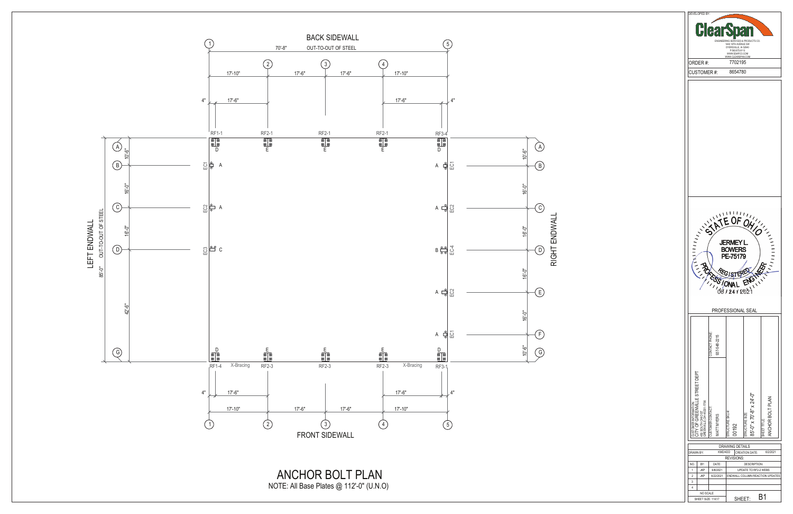| DEVELOPED BY:                                                                            |                                                                               |                                            |                                 |  |  |  |  |
|------------------------------------------------------------------------------------------|-------------------------------------------------------------------------------|--------------------------------------------|---------------------------------|--|--|--|--|
| $\hat{\mathbf{p}}$<br>I.                                                                 |                                                                               |                                            |                                 |  |  |  |  |
| ENGINEERING SERVICES & PRODUCTS CO.<br>1440 18TH AVENUE SW                               |                                                                               |                                            |                                 |  |  |  |  |
|                                                                                          | DYERSVILLE, IA 52040<br>P:563.875.6113<br>WWW.ESAPCO.COM<br>WWW.CLEARSPAN.COM |                                            |                                 |  |  |  |  |
| ORDER#:                                                                                  | 7702195                                                                       |                                            |                                 |  |  |  |  |
| <b>CUSTOMER#:</b>                                                                        | 8654780                                                                       |                                            |                                 |  |  |  |  |
|                                                                                          |                                                                               |                                            |                                 |  |  |  |  |
|                                                                                          |                                                                               |                                            |                                 |  |  |  |  |
|                                                                                          |                                                                               |                                            |                                 |  |  |  |  |
|                                                                                          |                                                                               |                                            |                                 |  |  |  |  |
|                                                                                          |                                                                               |                                            |                                 |  |  |  |  |
|                                                                                          |                                                                               |                                            |                                 |  |  |  |  |
|                                                                                          |                                                                               |                                            |                                 |  |  |  |  |
|                                                                                          |                                                                               |                                            |                                 |  |  |  |  |
|                                                                                          |                                                                               |                                            |                                 |  |  |  |  |
|                                                                                          |                                                                               |                                            |                                 |  |  |  |  |
|                                                                                          | 1 I <i>I I</i>                                                                |                                            |                                 |  |  |  |  |
|                                                                                          |                                                                               |                                            |                                 |  |  |  |  |
|                                                                                          |                                                                               |                                            |                                 |  |  |  |  |
| JERMEY                                                                                   |                                                                               |                                            |                                 |  |  |  |  |
| <b>BOWERS</b>                                                                            |                                                                               |                                            |                                 |  |  |  |  |
|                                                                                          | PE-75179                                                                      |                                            |                                 |  |  |  |  |
|                                                                                          |                                                                               |                                            |                                 |  |  |  |  |
|                                                                                          |                                                                               |                                            |                                 |  |  |  |  |
|                                                                                          |                                                                               |                                            |                                 |  |  |  |  |
|                                                                                          |                                                                               |                                            |                                 |  |  |  |  |
|                                                                                          | PROFESSIONAL SEAL                                                             |                                            |                                 |  |  |  |  |
|                                                                                          |                                                                               |                                            |                                 |  |  |  |  |
|                                                                                          |                                                                               |                                            |                                 |  |  |  |  |
|                                                                                          |                                                                               |                                            |                                 |  |  |  |  |
| CONTACT PHONE:<br>937-548-2215                                                           |                                                                               |                                            |                                 |  |  |  |  |
|                                                                                          |                                                                               |                                            |                                 |  |  |  |  |
|                                                                                          |                                                                               |                                            |                                 |  |  |  |  |
|                                                                                          |                                                                               |                                            |                                 |  |  |  |  |
| LE STREET DEPT                                                                           |                                                                               |                                            |                                 |  |  |  |  |
|                                                                                          |                                                                               |                                            |                                 |  |  |  |  |
| STOMER INFORMATION<br>OF GREENVIL                                                        | 0192                                                                          |                                            | NCHOR BOLT PLAN                 |  |  |  |  |
| 450 SOUTH OHIO ST<br>GREENVILLE, OH 45331-1756<br>CUSTOMER CONTACT:<br><b>MATT MYERS</b> | STRUCTURE SKU #                                                               | 85'-0" x 70'-8" x 24'-0"<br>TRUCTURE SIZE: | SHEET TITLE:                    |  |  |  |  |
| KMD/4DD<br>DRAWN BY:                                                                     | <b>DRAWING DETAILS</b>                                                        | <b>CREATION DATE:</b>                      | 6/2/2021                        |  |  |  |  |
| NO.<br>BY:<br>DATE:                                                                      | <b>REVISIONS:</b>                                                             | <b>DESCRIPTION:</b>                        |                                 |  |  |  |  |
| <b>JKP</b><br>6/8/2021<br>1<br>$\overline{c}$<br><b>JKP</b><br>6/22/2021                 |                                                                               | UPDATE TO RF2-2 WEBS                       | ENDWALL COLUMN REACTION UPDATES |  |  |  |  |
| 3<br>4                                                                                   |                                                                               |                                            |                                 |  |  |  |  |

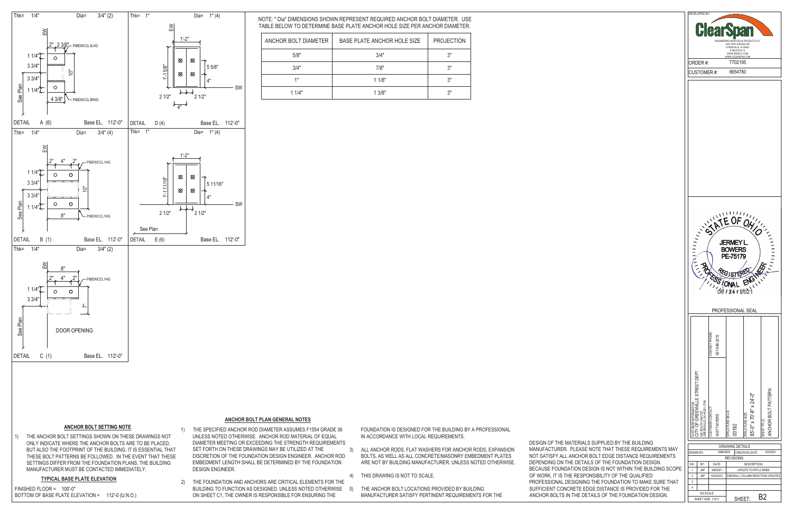## **ANCHOR BOLT SETTING NOTE**

1) THE ANCHOR BOLT SETTINGS SHOWN ON THESE DRAWINGS NOT ONLY INDICATE WHERE THE ANCHOR BOLTS ARE TO BE PLACED, BUT ALSO THE FOOTPRINT OF THE BUILDING. IT IS ESSENTIAL THAT THESE BOLT PATTERNS BE FOLLOWED. IN THE EVENT THAT THESE SETTINGS DIFFER FROM THE FOUNDATION PLANS, THE BUILDING MANUFACTURER MUST BE CONTACTED IMMEDIATELY.

### **TYPICAL BASE PLATE ELEVATION**

BOTTOM OF BASE PLATE ELEVATION = 112'-0 (U.N.O.) FINISHED FLOOR = 100'-0"

- 1) THE SPECIFIED ANCHOR ROD DIAMETER ASSUMES F1554 GRADE 36 UNLESS NOTED OTHERWISE. ANCHOR ROD MATERIAL OF EQUAL DIAMETER MEETING OR EXCEEDING THE STRENGTH REQUIREMENTS SET FORTH ON THESE DRAWINGS MAY BE UTILIZED AT THE DISCRETION OF THE FOUNDATION DESIGN ENGINEER. ANCHOR ROD EMBEDMENT LENGTH SHALL BE DETERMINED BY THE FOUNDATION DESIGN ENGINEER.
- 2) THE FOUNDATION AND ANCHORS ARE CRITICAL ELEMENTS FOR THE BUILDING TO FUNCTION AS DESIGNED. UNLESS NOTED OTHERWISE 5) ON SHEET C1, THE OWNER IS RESPONSIBLE FOR ENSURING THE

| DEVELOPED BY:<br>H<br>Ē<br>ENGINEERING SERVICES & PRODUCTS CO.<br>1440 18TH AVENUE SW<br>DYERSVILLE, IA 52040<br>P:563.875.6113 |                                 |                                     |                                             |                                     |  |  |
|---------------------------------------------------------------------------------------------------------------------------------|---------------------------------|-------------------------------------|---------------------------------------------|-------------------------------------|--|--|
|                                                                                                                                 |                                 | WWW.ESAPCO.COM<br>WWW.CLEARSPAN.COM |                                             |                                     |  |  |
| ORDER #:                                                                                                                        |                                 | 7702195<br>8654780                  |                                             |                                     |  |  |
|                                                                                                                                 |                                 |                                     |                                             |                                     |  |  |
| CUSTOMER#:                                                                                                                      |                                 |                                     |                                             |                                     |  |  |
| , , , ,<br>JERMEY<br><b>BOWERS</b><br>PE-75179<br>$G_{L_2}$<br><b>ONA</b><br>66124120                                           |                                 |                                     |                                             |                                     |  |  |
|                                                                                                                                 |                                 |                                     |                                             |                                     |  |  |
|                                                                                                                                 |                                 | PROFESSIONAL SEAL                   |                                             |                                     |  |  |
|                                                                                                                                 | CONTACT PHONE:<br>937-548-2215  |                                     |                                             |                                     |  |  |
| CUSTOMER INFORMATION:<br>CCITY OF GREENVILLE STREET DEPT<br>GREENVILLE, OH 4533-1-756<br>GREENVILLE, OH 4533-1-756              | CUSTOMER CONTACT:<br>IATT MYERS | <b>ITRUCTURE SKU #:</b><br>0192     | 85'-0" x 70'-8" x 24'-0"<br>STRUCTURE SIZE: | ANCHOR BOLT PATTERN<br>SHEET TITLE: |  |  |
|                                                                                                                                 |                                 | <b>DRAWING DETAILS</b>              |                                             |                                     |  |  |
| DRAWN BY:                                                                                                                       | KMD/4DD                         | <b>REVISIONS:</b>                   | CREATION DATE:                              | 6/2/2021                            |  |  |
| NO.<br>BY:<br>1<br><b>JKP</b>                                                                                                   | DATE:<br>6/8/2021               |                                     | <b>DESCRIPTION:</b><br>UPDATE TO RF2-2 WEBS |                                     |  |  |
| $\overline{\mathbf{c}}$<br><b>JKP</b>                                                                                           | 6/22/2021                       |                                     |                                             | ENDWALL COLUMN REACTION UPDATES     |  |  |
| 3<br>4<br>NO SCALE                                                                                                              |                                 |                                     |                                             |                                     |  |  |

FOUNDATION IS DESIGNED FOR THE BUILDING BY A PROFESSIONAL IN ACCORDANCE WITH LOCAL REQUIREMENTS.

- 3) ALL ANCHOR RODS, FLAT WASHERS FOR ANCHOR RODS, EXPANSION BOLTS, AS WELL AS ALL CONCRETE/MASONRY EMBEDMENT PLATES ARE NOT BY BUILDING MANUFACTURER, UNLESS NOTED OTHERWISE.
- 4) THIS DRAWING IS NOT TO SCALE.
- THE ANCHOR BOLT LOCATIONS PROVIDED BY BUILDING MANUFACTURER SATISFY PERTINENT REQUIREMENTS FOR THE

DESIGN OF THE MATERIALS SUPPLIED BY THE BUILDING MANUFACTURER. PLEASE NOTE THAT THESE REQUIREMENTS MAY NOT SATISFY ALL ANCHOR BOLT EDGE DISTANCE REQUIREMENTS DEPENDING ON THE DETAILS OF THE FOUNDATION DESIGN. BECAUSE FOUNDATION DESIGN IS NOT WITHIN THE BUILDING SCOPE OF WORK, IT IS THE RESPONSIBILITY OF THE QUALIFIED PROFESSIONAL DESIGNING THE FOUNDATION TO MAKE SURE THAT SUFFICIENT CONCRETE EDGE DISTANCE IS PROVIDED FOR THE ANCHOR BOLTS IN THE DETAILS OF THE FOUNDATION DESIGN.

## **ANCHOR BOLT PLAN GENERAL NOTES**

NOTE: " Dia" DIMENSIONS SHOWN REPRESENT REQUIRED ANCHOR BOLT DIAMETER. USE TABLE BELOW TO DETERMINE BASE PLATE ANCHOR HOLE SIZE PER ANCHOR DIAMETER.

| ANCHOR BOLT DIAMETER | BASE PLATE ANCHOR HOLE SIZE | <b>PROJECTION</b> |
|----------------------|-----------------------------|-------------------|
| 5/8"                 | 3/4"                        | اا 2              |
| 3/4"                 | 7/8"                        | ا2                |
| 4H                   | 11/8"                       | ا 2               |
| 11/4"                | 13/8"                       | יופ               |



DETAIL C (1)

Base EL. 112'-0"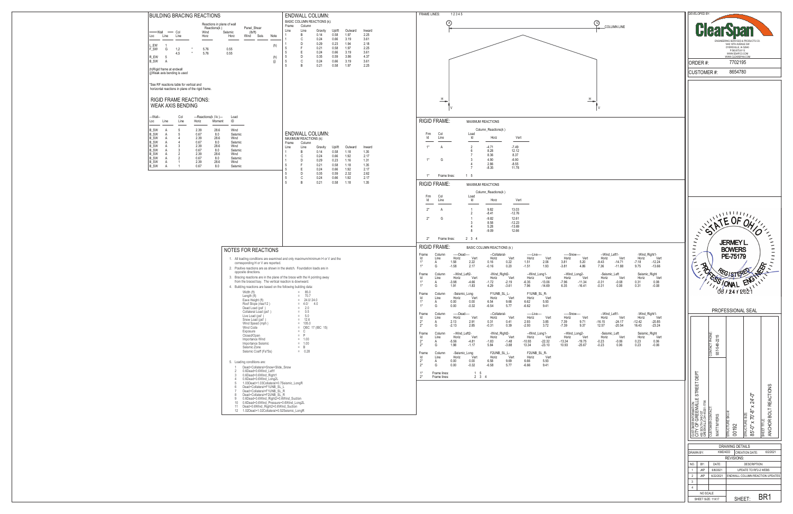| COLUMN LINE                                                                                                                                                                                                                                                                                                                                                | DEVELOPED BY:<br><b>ClearS</b><br>Я<br>ENGINEERING SERVICES & PRODUCTS CO.<br>1440 18TH AVENUE SW<br>DYERSVILLE, IA 52040<br>P:563.875.6113<br>WWW.ESAPCO.COM<br>WWW.CLEARSPAN.COM<br>7702195<br>ORDER#:<br>8654780<br><b>CUSTOMER#:</b>                                                                                                                                                                                                                                                                  |
|------------------------------------------------------------------------------------------------------------------------------------------------------------------------------------------------------------------------------------------------------------------------------------------------------------------------------------------------------------|-----------------------------------------------------------------------------------------------------------------------------------------------------------------------------------------------------------------------------------------------------------------------------------------------------------------------------------------------------------------------------------------------------------------------------------------------------------------------------------------------------------|
| н                                                                                                                                                                                                                                                                                                                                                          |                                                                                                                                                                                                                                                                                                                                                                                                                                                                                                           |
| --Wind_Left1-<br>-Wind_Right1-<br>Vert<br>Vert<br>Vert<br>Horiz<br>Horiz<br>20<br>$-9.43$<br>$-14.71$<br>$-7.18$<br>$-12.24$<br>86<br>7.36<br>$-11.88$<br>9.75<br>$-13.66$<br>ļ.<br>Seismic_Right<br>-Seismic_Left<br>Vert<br>Vert<br>Horiz<br>Horiz<br>Vert<br>$-0.08$<br>0.08<br>.34<br>$-0.31$<br>0.31<br>.41<br>$-0.31$<br>0.08<br>0.31<br>$-0.08$     | SATE OF ON<br>ELECTERE<br><b>GINAL</b>                                                                                                                                                                                                                                                                                                                                                                                                                                                                    |
| -Wind_Right1-<br>--Wind Left1-<br>Vert<br>Vert<br>Horiz<br>Vert<br>Horiz<br>71<br>$-16.15$<br>$-24.17$<br>$-12.42$<br>$-20.85$<br>12.57<br>$-23.24$<br>37<br>$-20.54$<br>16.43<br>ļ.<br>Seismic_Right<br>-Seismic_Left<br>Vert<br>Horiz<br>Vert<br>Horiz<br>Vert<br>$-0.23$<br>$-0.06$<br>0.23<br>0.06<br>.75<br>$-0.23$<br>0.06<br>0.23<br>$-0.06$<br>.67 | PROFESSIONAL SEAL<br>CONTACT PHONE:<br>937-548-2215<br>CUSTOMER INFORMATION:<br>CITY OF GREENVILLE STREET DEPT<br>CITY OF GREENVILLE STREET DEPT<br>GREENVILLE,OH 4533+1756<br>ANCHOR BOLT REACTIONS                                                                                                                                                                                                                                                                                                      |
|                                                                                                                                                                                                                                                                                                                                                            | 85'-0" x 70'-8" x 24'-0"<br><b>CUSTOMER CONTACT</b><br>STRUCTURE SKU #<br><b>STRUCTURE SIZE:</b><br>MATT MYERS<br>SHEET TITLE:<br>00192<br><b>DRAWING DETAILS</b><br>KMD/4DD<br><b>CREATION DATE:</b><br>DRAWN BY:<br>6/2/2021<br>REVISIONS:<br>DATE:<br><b>DESCRIPTION:</b><br>NO.<br>BY:<br>1<br><b>JKP</b><br>6/8/2021<br>UPDATE TO RF2-2 WEBS<br>$\overline{2}$<br><b>JKP</b><br>6/22/2021<br>ENDWALL COLUMN REACTION UPDATES<br>3<br>4<br>NO SCALE<br>BR <sub>1</sub><br>SHEET:<br>SHEET SIZE: 11X17 |

| BUILDING BRACING REACTIONS                                                                                                                                                                                                                                                                                                                                                                                                                                                                                                                      |            |                                                                                                              | <b>ENDWALL COLUMN:</b>                                              |                                |                                 |                                | <b>FRAME LINES:</b><br>12345                                                                                                                                                                                                                                                                                                                                                                                                                                                                                                                                                                                                                                                                                                                                                                                                                                                                                                                                                                                                                               |                                                     |
|-------------------------------------------------------------------------------------------------------------------------------------------------------------------------------------------------------------------------------------------------------------------------------------------------------------------------------------------------------------------------------------------------------------------------------------------------------------------------------------------------------------------------------------------------|------------|--------------------------------------------------------------------------------------------------------------|---------------------------------------------------------------------|--------------------------------|---------------------------------|--------------------------------|------------------------------------------------------------------------------------------------------------------------------------------------------------------------------------------------------------------------------------------------------------------------------------------------------------------------------------------------------------------------------------------------------------------------------------------------------------------------------------------------------------------------------------------------------------------------------------------------------------------------------------------------------------------------------------------------------------------------------------------------------------------------------------------------------------------------------------------------------------------------------------------------------------------------------------------------------------------------------------------------------------------------------------------------------------|-----------------------------------------------------|
| Reactions in plane of wall<br>Reactions(k)<br>Panel Shear<br>— Wall<br>$\overline{\phantom{0}}$ Col                                                                                                                                                                                                                                                                                                                                                                                                                                             |            | Frame<br>Line<br>Line                                                                                        | BASIC COLUMN REACTIONS (k):<br>Column<br>Gravity                    | Uplift                         | Outward                         | Inward                         | (A)<br>COLUMN LINE                                                                                                                                                                                                                                                                                                                                                                                                                                                                                                                                                                                                                                                                                                                                                                                                                                                                                                                                                                                                                                         |                                                     |
| Wind<br>Seismic<br>(lb/ft)<br>Loc<br>Line<br>Horz<br>Horz<br>Wind Seis<br>Line                                                                                                                                                                                                                                                                                                                                                                                                                                                                  | Note       | B<br>C<br>D                                                                                                  | 0.14<br>0.24<br>0.29                                                | 0.58<br>0.66<br>0.23           | 1.97<br>3.19<br>1.94            | 2.25<br>3.61<br>2.18           |                                                                                                                                                                                                                                                                                                                                                                                                                                                                                                                                                                                                                                                                                                                                                                                                                                                                                                                                                                                                                                                            |                                                     |
| L_EW<br>F_SW<br>1,2<br>5.76<br>0.55<br>G<br>4,5<br>0.55<br>5.76                                                                                                                                                                                                                                                                                                                                                                                                                                                                                 | (h)        | -F<br>5<br>E                                                                                                 | 0.21<br>0.24                                                        | 0.58<br>0.66                   | 1.97<br>3.19                    | 2.25<br>3.61                   |                                                                                                                                                                                                                                                                                                                                                                                                                                                                                                                                                                                                                                                                                                                                                                                                                                                                                                                                                                                                                                                            |                                                     |
| R EW<br>5<br>B_SW<br>A<br>(h)Rigid frame at endwall                                                                                                                                                                                                                                                                                                                                                                                                                                                                                             | (h)<br>(i) | D<br>5<br>C<br>5<br>R<br>5                                                                                   | 0.35<br>0.24<br>0.21                                                | 0.59<br>0.66<br>0.58           | 3.86<br>3.19<br>1.97            | 4.37<br>3.61<br>2.25           |                                                                                                                                                                                                                                                                                                                                                                                                                                                                                                                                                                                                                                                                                                                                                                                                                                                                                                                                                                                                                                                            |                                                     |
| (j)Weak axis bending is used                                                                                                                                                                                                                                                                                                                                                                                                                                                                                                                    |            |                                                                                                              |                                                                     |                                |                                 |                                |                                                                                                                                                                                                                                                                                                                                                                                                                                                                                                                                                                                                                                                                                                                                                                                                                                                                                                                                                                                                                                                            |                                                     |
| *See RF reactions table for vertical and<br>horizontal reactions in plane of the rigid frame.                                                                                                                                                                                                                                                                                                                                                                                                                                                   |            |                                                                                                              |                                                                     |                                |                                 |                                |                                                                                                                                                                                                                                                                                                                                                                                                                                                                                                                                                                                                                                                                                                                                                                                                                                                                                                                                                                                                                                                            |                                                     |
| <b>RIGID FRAME REACTIONS:</b><br><b>WEAK AXIS BENDING</b>                                                                                                                                                                                                                                                                                                                                                                                                                                                                                       |            |                                                                                                              |                                                                     |                                |                                 |                                | ╩<br>Н                                                                                                                                                                                                                                                                                                                                                                                                                                                                                                                                                                                                                                                                                                                                                                                                                                                                                                                                                                                                                                                     |                                                     |
| ---Wall--<br>Col<br>---Reactions(k, f-k)---<br>Load<br>ID<br>Horiz<br>Loc<br>Moment<br>Line<br>Line                                                                                                                                                                                                                                                                                                                                                                                                                                             |            |                                                                                                              |                                                                     |                                |                                 |                                | <b>RIGID FRAME:</b><br>MAXIMUM REACTIONS                                                                                                                                                                                                                                                                                                                                                                                                                                                                                                                                                                                                                                                                                                                                                                                                                                                                                                                                                                                                                   |                                                     |
| <b>B_SW</b><br>28.6<br>5<br>2.39<br>Wind<br>A<br><b>B_SW</b><br>0.67<br>8.0<br>A<br>Seismic<br>-5<br><b>B_SW</b><br>2.39<br>28.6<br>Wind<br>A<br><b>B_SW</b><br>0.67<br>8.0<br>Seismic<br>A<br><b>B_SW</b><br>2.39<br>28.6<br>Wind<br><b>B_SW</b><br>0.67<br>8.0<br>Seismic<br><b>B_SW</b><br>2.39<br>28.6<br>Wind<br>A<br><b>B_SW</b><br>0.67<br>8.0<br>Seismic<br>B SW<br>2.39<br>28.6<br>A<br>Wind                                                                                                                                           |            | MAXIMUM REACTIONS (k):<br>Frame<br>Line<br>Line<br>B<br>C<br>D<br>-F                                         | <b>ENDWALL COLUMN:</b><br>Column<br>Gravity<br>0.14<br>0.24<br>0.29 | Uplift<br>0.58<br>0.66<br>0.23 | Outward<br>1.18<br>1.92<br>1.16 | Inward<br>1.35<br>2.17<br>1.31 | Column_Reactions(k)<br>Col<br>Load<br>Frm<br>ld<br>ld<br>Vert<br>Line<br>Horz<br>$\overline{2}$<br>$-4.71$<br>$-7.49$<br>$1^*$<br>A<br>8.28<br>12.12<br>-6<br>8.36<br>8.37<br>$-6.90$<br>-3<br>4.90<br>$1^*$<br>G<br>2.86<br>$-8.55$                                                                                                                                                                                                                                                                                                                                                                                                                                                                                                                                                                                                                                                                                                                                                                                                                       |                                                     |
| 0.67<br>B_SW<br>8.0<br>Seismic<br>A                                                                                                                                                                                                                                                                                                                                                                                                                                                                                                             |            | 5<br>E<br>5<br>D<br>5<br>C<br>5                                                                              | 0.21<br>0.24<br>0.35<br>0.24                                        | 0.58<br>0.66<br>0.59<br>0.66   | 1.18<br>1.92<br>2.32<br>1.92    | 1.35<br>2.17<br>2.62<br>2.17   | $-8.35$<br>11.78<br>1 5<br>$1^*$<br>Frame lines:                                                                                                                                                                                                                                                                                                                                                                                                                                                                                                                                                                                                                                                                                                                                                                                                                                                                                                                                                                                                           |                                                     |
|                                                                                                                                                                                                                                                                                                                                                                                                                                                                                                                                                 |            |                                                                                                              |                                                                     |                                |                                 |                                | Column_Reactions(k)<br>Col<br>Load<br>Frm<br>ld<br>Line<br>ld<br>Horz<br>Vert<br>13.03<br>$2^*$<br>9.82<br>A<br>$\overline{1}$<br>$-8.41$<br>$-12.76$<br>$\overline{2}$<br>12.61<br>$2^*$<br>$-9.82$<br>G<br>8.58<br>$-12.23$<br>5.28<br>$-13.69$<br>$-9.09$<br>12.66<br>-8<br>$2^*$<br>Frame lines:<br>$2 \t3 \t4$<br><b>RIGID FRAME:</b><br><b>BASIC COLUMN REACTIONS (k)</b>                                                                                                                                                                                                                                                                                                                                                                                                                                                                                                                                                                                                                                                                            |                                                     |
| NOTES FOR REACTIONS<br>1. All loading conditions are examined and only maximum/minimum H or V and the                                                                                                                                                                                                                                                                                                                                                                                                                                           |            |                                                                                                              |                                                                     |                                |                                 |                                | --Wind_Left1-<br>-Wind_Right1-<br>Frame<br>-----Dead----<br>--Collateral-<br>----Snow----<br>Column<br>-----Live----<br>ld<br>Horiz<br>Vert<br>Horiz<br>Vert<br>Horiz<br>Horiz<br>Vert<br>Horiz<br>Vert<br>Horiz<br>Vert<br>Line                                                                                                                                                                                                                                                                                                                                                                                                                                                                                                                                                                                                                                                                                                                                                                                                                           | Ve                                                  |
| corresponding H or V are reported.<br>2. Positive reactions are as shown in the sketch. Foundation loads are in<br>opposite directions.<br>3. Bracing reactions are in the plane of the brace with the H pointing away<br>from the braced bay. The vertical reaction is downward.<br>4. Building reactions are based on the following building data:<br>Width (ft)<br>Length (ft)<br>Eave Height (ft)<br>Roof Slope (rise/12)<br>Dead Load (psf)                                                                                                |            | $= 85.0$<br>$= 70.7$<br>$= 2.0$                                                                              | $= 24.0 / 24.0$<br>$= 4.0 / 4.0$                                    |                                |                                 |                                | 1.58<br>0.16<br>2.06<br>$-7.18$<br>$1*$<br>2.22<br>0.22<br>1.51<br>3.81<br>5.20<br>$-9.43$<br>$-14.71$<br>A<br>$1^*$<br>$-1.58$<br>$-0.16$<br>1.93<br>7.36<br>G<br>2.17<br>0.20<br>$-1.51$<br>$-3.81$<br>9.75<br>4.86<br>$-11.88$<br>--Wind_Left2-<br>-Wind_Right2-<br>Seismic_Right<br>Frame<br>Column<br>--Wind_Long1-<br>--Wind_Long2-<br>-Seismic_Left<br>ld<br>Line<br>Horiz<br>Vert<br>Horiz<br>Vert<br>Horiz<br>Vert<br>Horiz<br>Vert<br>Horiz<br>Vert<br>Horiz<br>$-3.98$<br>$-1.72$<br>$-7.96$<br>$1*$<br>$-4.66$<br>$-2.19$<br>$-6.35$<br>$-13.06$<br>$-11.34$<br>$-0.31$<br>$-0.08$<br>0.31<br>A<br>$1^*$<br>1.91<br>4.29<br>6.35<br>G<br>$-1.83$<br>$-3.61$<br>7.96<br>$-14.69$<br>$-16.41$<br>$-0.31$<br>0.08<br>0.31<br>F1UNB_SL_L-<br>F1UNB_SL_R-<br>Frame<br>Column<br>-Seismic_Long<br>ld<br>Horiz<br>Vert<br>Horiz<br>Vert<br>Horiz<br>Vert<br>Line<br>$1*$<br>0.00<br>0.00<br>6.54<br>6.62<br>5.93<br>9.68<br>A<br>G<br>0.00<br>$-0.32$<br>$-6.54$<br>5.77<br>$-6.62$<br>9.41                                                           | $-12.24$<br>$-13.66$<br>Ve<br>0.08<br>$-0.08$       |
| Collateral Load (psf)<br>Live Load (psf)<br>Snow Load (psf)<br>Wind Speed (mph)<br>Wind Code<br>Exposure<br>Closed/Open<br>Importance Wind<br>Importance Seismic<br>Seismic Zone<br>Seismic Coeff (Fa*Ss)                                                                                                                                                                                                                                                                                                                                       |            | $= 0.5$<br>$= 5.0$<br>$= 12.6$<br>$= 105.0$<br>$= C$<br>$=$ $P$<br>$= 1.00$<br>$= 1.00$<br>$=$ B<br>$= 0.28$ | $=$ OBC 17 (IBC 15)                                                 |                                |                                 |                                | Frame<br>--Collateral-<br>--Wind_Left1-<br>-Wind_Right1-<br>Column<br>-----Dead----<br>-----Live----<br>-----Snow----<br>Horiz<br>ld<br>Horiz<br>Vert<br>Horiz<br>Vert<br>Vert<br>Horiz<br>Vert<br>Horiz<br>Vert<br>Horiz<br>Line<br>$2^*$<br>2.13<br>0.31<br>7.39<br>$-24.17$<br>$-12.42$<br>2.91<br>0.41<br>2.93<br>3.85<br>9.71<br>$-16.15$<br>A<br>$2^*$<br>$-2.13$<br>2.85<br>$-0.31$<br>0.39<br>$-2.93$<br>3.72<br>$-7.39$<br>9.37<br>12.57<br>$-20.54$<br>16.43<br>G<br>--Wind_Left2-<br>-Wind_Right2-<br>--Wind_Long1-<br>--Wind_Long2-<br>-Seismic_Left<br>Seismic_Right<br>Frame<br>Column<br>Horiz<br>Vert<br>Vert<br>ld<br>Horiz<br>Vert<br>Horiz<br>Vert<br>Horiz<br>Horiz<br>Vert<br>Horiz<br>Line<br>$\frac{2^{*}}{2^{*}}$<br>$-5.56$<br>$-1.83$<br>$-10.93$<br>$-22.32$<br>$-13.34$<br>$-0.23$<br>$-0.06$<br>$-4.81$<br>$-1.48$<br>$-19.75$<br>0.23<br>A<br>$-23.10$<br>1.98<br>$-0.23$<br>5.84<br>$-3.88$<br>13.34<br>10.93<br>$-25.67$<br>0.06<br>0.23<br>$-1.17$<br>G<br>Frame<br>Column<br>-Seismic_Long<br>F2UNB_SL_L-<br>F2UNB_SL_R- | Ve<br>$-20.85$<br>$-23.24$<br>Ve<br>0.06<br>$-0.06$ |
| 5. Loading conditions are:<br>Dead+Collateral+Snow+Slide Snow<br>$\sim$<br>0.6Dead+0.6Wind_Left1<br>2<br>0.6Dead+0.6Wind_Right1<br>3<br>0.6Dead+0.6Wind_Long2L<br>$\overline{4}$<br>1.03Dead+1.03Collateral+0.7Seismic LongR<br>5<br>Dead+Collateral+F1UNB_SL_L<br>6<br>Dead+Collateral+F1UNB_SL_R<br>$7\overline{ }$<br>Dead+Collateral+F2UNB SL R<br>8<br>0.6Dead+0.6Wind Right2+0.6Wind Suction<br>9<br>10 0.6Dead+0.6Wind_Pressure+0.6Wind_Long2L<br>11 Dead+0.6Wind Right2+0.6Wind Suction<br>12 1.02Dead+1.02Collateral+0.52Seismic_LongR |            |                                                                                                              |                                                                     |                                |                                 |                                | ld<br>Horiz<br>Horiz<br>Vert<br>Horiz<br>Vert<br>Line<br>Vert<br>$\frac{2^{*}}{2^{*}}$<br>5.93<br>0.00<br>0.00<br>6.58<br>9.69<br>6.66<br>A<br>G<br>0.00<br>$-0.32$<br>$-6.58$<br>5.77<br>$-6.66$<br>9.41<br>$1^*$<br>Frame lines:<br>1 5<br>$2^*$<br>$2 \quad 3 \quad 4$<br>Frame lines:                                                                                                                                                                                                                                                                                                                                                                                                                                                                                                                                                                                                                                                                                                                                                                  |                                                     |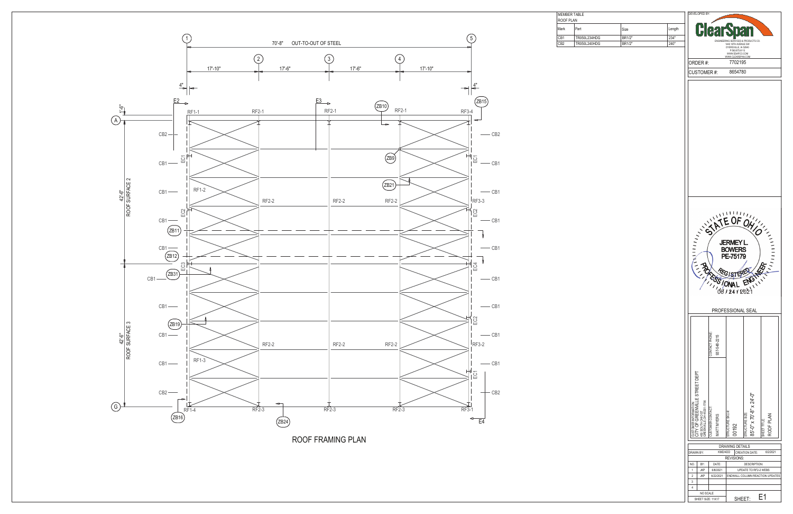

ROOF FRAMING PLAN



MEMBER TABLE ROOF PLAN

| MEMDEN IADLE |              |        |        |  |  |  |
|--------------|--------------|--------|--------|--|--|--|
| ROOF PLAN    |              |        |        |  |  |  |
| Mark         | Part         | Size   | Length |  |  |  |
| CB1          | TR050L234HDG | BR1/2" | 234"   |  |  |  |
| CB2          | TR050L240HDG | BR1/2" | 240"   |  |  |  |
|              |              |        |        |  |  |  |

DEVELOPED BY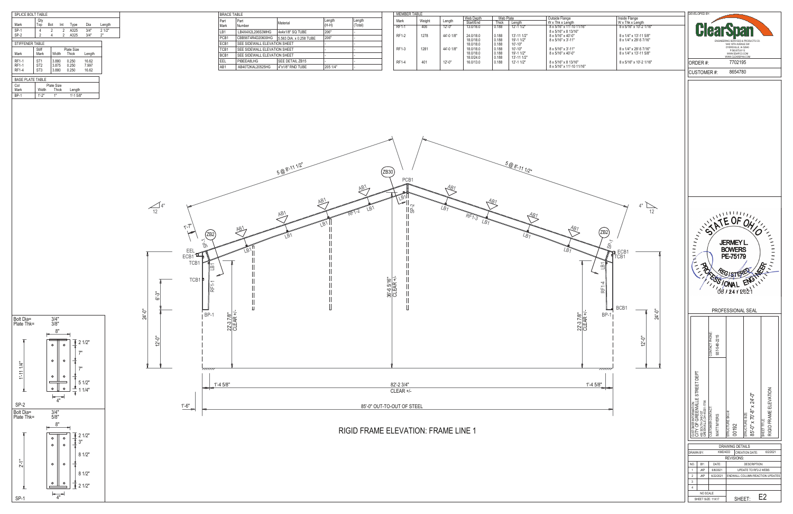

 $\frac{1}{2}$  2 1/2" 8 1/2"

8 1/2"  $\frac{1}{2}$  3"  $\sqrt{2}$  1/2"

 $\frac{1}{2}$  1 1/4"  $\frac{1}{2}$  5 1/2"

 $\overline{\bullet}$ 

7"  $\sqrt{2}$  2 1/2"

Bolt Dia= Plate Thk=

3/4" 5/8"

 $\begin{array}{c}\n\leftarrow \\
4^{\circ}\n\end{array}$ 

SP-1

 $2 - 1$ "

Bolt Dia= Plate Thk=

3/4" 3/8"

 $8"$ 

- o - II  $\circ$ 

 $\circ$  $\circ$  $\begin{array}{c|c} \hline \text{--} & \bullet \\ \hline \text{--} & \bullet \end{array}$ 

 $\circ$  $\circ$ 

 $8"$ 

 $\circ$  $\circ$ 

 $\circ$  $\circ$ 

 $\circ$  $\circ$ ╃

SP-2

 $\vdash \xrightarrow{4"}$ 

- 1

 $\circ$  ||  $\circ$  7"

1'-11 1/4"

| <b>MEMBER TABLE</b> |        |            |           |           |              |                                    |
|---------------------|--------|------------|-----------|-----------|--------------|------------------------------------|
|                     |        |            | Web Depth | Web Plate |              | Outside Flange                     |
| Mark                | Weight | Length     | Start/End | Thick     | Lenath       | W x Thk x Length                   |
| $RF1-1$             | 406    | $12 - 0$ " | 13.0/16.0 | 0.188     | $12 - 11/2"$ | 8 x 5/16" x 11'-10 11/1            |
|                     |        |            |           |           |              | $8 \times 5/16$ " x 8 13/16"       |
| RF1-2               | 1278   | 44'-0 1/8" | 24.0/18.0 | 0.188     | 13'-11 1/2"  | $8 \times 5/16" \times 40'$ -0"    |
|                     |        |            | 18.0/18.0 | 0.188     | 19'-1 1/2"   | $8 \times 5/16$ " $\times 3'$ -11" |
|                     |        |            | 18.0/18.0 | 0.188     | $10' - 10"$  |                                    |
| RF1-3               | 1281   | 44'-0 1/8" | 18.0/18.0 | 0.188     | $10' - 10"$  | 8 x 5/16" x 3'-11"                 |
|                     |        |            | 18.0/18.0 | 0.188     | 19'-1 1/2"   | $8 \times 5/16" \times 40'$ -0"    |
|                     |        |            | 18.0/24.0 | 0.188     | 13'-11 1/2"  |                                    |
| <b>RF1-4</b>        | 401    | $12 - 0$ " | 16.0/13.0 | 0.188     | 12'-1 1/2"   | 8 x 5/16" x 8 13/16"               |
|                     |        |            |           |           |              | 8 x 5/16" x 11'-10 11/1            |
|                     |        |            |           |           |              |                                    |



| <b>BRACE TABLE</b> |                              |                         |                 |                   |  |  |
|--------------------|------------------------------|-------------------------|-----------------|-------------------|--|--|
| Part<br>Mark       | Part<br>Number               | Material                | Length<br>(H-H) | Length<br>(Total) |  |  |
| LB1                | LB4X4X2L206S3MHG             | 4x4x1/8" SQ TUBE        | 206"            |                   |  |  |
| PCB <sub>1</sub>   | CBB56T4R4D20600HG            | 5.563 DIA. x 0.258 TUBE | 206"            |                   |  |  |
| ECB1               | SEE SIDEWALL ELEVATION SHEET |                         |                 |                   |  |  |
| TCB <sub>1</sub>   | SEE SIDEWALL ELEVATION SHEET |                         |                 |                   |  |  |
| BCB <sub>1</sub>   | SEE SIDEWALL ELEVATION SHEET |                         |                 |                   |  |  |
| EEL.               | PIBEEA8LHG                   | SEE DETAIL ZB15         |                 |                   |  |  |
| AB1                | AB40T2KAL20525HG             | 4"x1/8" RND TUBE        | 205 1/4"        |                   |  |  |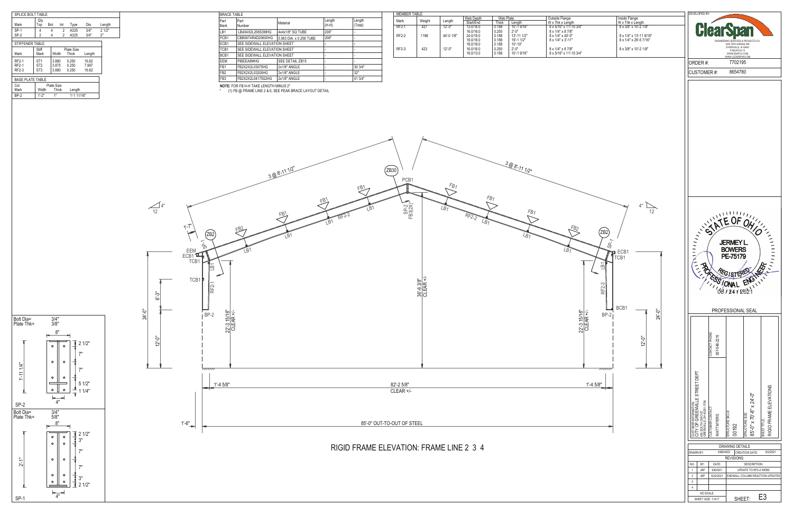

 $\overline{1}$  2 1/2" ່, 3" 7"

7" 3"  $\sqrt{2}$  1/2"

 $\frac{1}{2}$  1 1/4"  $\frac{1}{2}$  5 1/2"

7"  $\sqrt{2}$  1/2"

Bolt Dia= Plate Thk=

3/4" 5/8"

 $\circ$  $\circ$  $\circ$  $\circ$ 

 $\circ$  $\circ$ 

SP-1

2'-1"

8"

 $\overline{4}$ "

 $\begin{array}{c}\n\leftarrow \\
4^{\circ}\n\end{array}$ 

 $\circ$  $\circ$  $\circ$   $\perp$  $\circ$ 

Bolt Dia= Plate Thk=

3/4" 3/8"

 $8"$ 

 $\circ$  $\circ$ 

 $\circ$  $\circ$  $\sqrt{2}$ 

 $\circ$  $\circ$ 

SP-2

7"

1'-11 1/4"

|         | MEMBER TABLE |            |           |           |             |                                |  |  |
|---------|--------------|------------|-----------|-----------|-------------|--------------------------------|--|--|
|         |              |            | Web Depth | Web Plate |             | Outside Flange                 |  |  |
| Mark    | Weight       | ∟ength     | Start/End | Thick     | Lenath      | W x Thk x Length               |  |  |
| $RF2-1$ | 427          | $12 - 0$ " | 13.0/16.0 | 0.188     | 10'-1 9/16" | 8 x 5/16" x 11'-10 3/4"        |  |  |
|         |              |            | 16.0/16.0 | 0.250     | $2' - 0''$  | 8 x 1/4" x 8 7/8"              |  |  |
| RF2-2   | 1198         | 44'-0 1/8" | 24.0/18.0 | 0.188     | 13'-11 1/2" | $8 \times 1/4" \times 40'$ -0" |  |  |
|         |              |            | 18.0/18.0 | 0.188     | 19'-1 1/2"  | 8 x 1/4" x 3'-11"              |  |  |
|         |              |            | 18.0/18.0 | 0.188     | $10' - 10"$ |                                |  |  |
| RF2-3   | 423          | $12 - 0$ " | 16.0/16.0 | 0.250     | $2' - 0''$  | 8 x 1/4" x 8 7/8"              |  |  |
|         |              |            | 16.0/13.0 | 0.188     | 10'-1 9/16" | 8 x 5/16" x 11'-10 3/4"        |  |  |
|         |              |            |           |           |             |                                |  |  |

| SPLICE BOLT TABLE                     |                                                       |                         |        |                         |                         |             |  |
|---------------------------------------|-------------------------------------------------------|-------------------------|--------|-------------------------|-------------------------|-------------|--|
| Mark                                  | Qty<br>Top                                            | Bot                     | Int    | Type                    | Dia                     | Length      |  |
| SP-1<br>$SP-2$                        | 4<br>$\overline{2}$                                   | 4<br>4                  | 2<br>2 | A325<br>A325            | 3/4"<br>3/4"            | 21/2"<br>2" |  |
| STIFFENER TABLE                       |                                                       |                         |        |                         |                         |             |  |
| Mark                                  | Stiff<br>Mark                                         | Width                   |        | Plate Size<br>Thick     | Length                  |             |  |
| <b>RF2-1</b><br><b>RF2-1</b><br>RF2-3 | ST <sub>1</sub><br>ST <sub>2</sub><br>ST <sub>3</sub> | 3.880<br>3.875<br>3.880 |        | 0.250<br>0.250<br>0.250 | 16.62<br>7.997<br>16.62 |             |  |
| <b>BASE PLATE TABLE</b>               |                                                       |                         |        |                         |                         |             |  |
| Col<br>Mark                           | Width                                                 | Plate Size<br>Thick     |        | Length                  |                         |             |  |
| <b>BP-2</b>                           | 1'.2"                                                 | 1"                      |        | 1'-1 11/16"             |                         |             |  |

| <b>BRACE TABLE</b>         |                                         |                         |                 |                   |
|----------------------------|-----------------------------------------|-------------------------|-----------------|-------------------|
| <b>Part</b><br><b>Mark</b> | Part<br>Number                          | Material                | Length<br>(H-H) | Length<br>(Total) |
| LB1                        | LB4X4X2L206S3MHG                        | 4x4x1/8" SQ TUBE        | 206"            |                   |
| PCB1                       | CBB56T4R4D20600HG                       | 5.563 DIA, x 0.258 TUBE | 206"            |                   |
| ECB1                       | SEE SIDEWALL ELEVATION SHEET            |                         |                 |                   |
| TCB1                       | SEE SIDEWALL ELEVATION SHEET            |                         |                 |                   |
| BCB1                       | SEE SIDEWALL ELEVATION SHEET            |                         |                 |                   |
| EEM                        | PIBEEA8MHG                              | SEE DETAIL ZB15         |                 |                   |
| FB <sub>1</sub>            | FB2X2X2L03075HG                         | 2x1/8" ANGLE            |                 | 30 3/4"           |
| FB <sub>2</sub>            | FB2X2X2L03200HG                         | 2x1/8" ANGLE            |                 | 32"               |
| FB <sub>3</sub>            | FB2X2X2L04175S2HG                       | 2x1/8" ANGLE            |                 | 41 3/4"           |
|                            | NOTE: FOR ER HLH TAKE I ENGTH MINITS 2" |                         |                 |                   |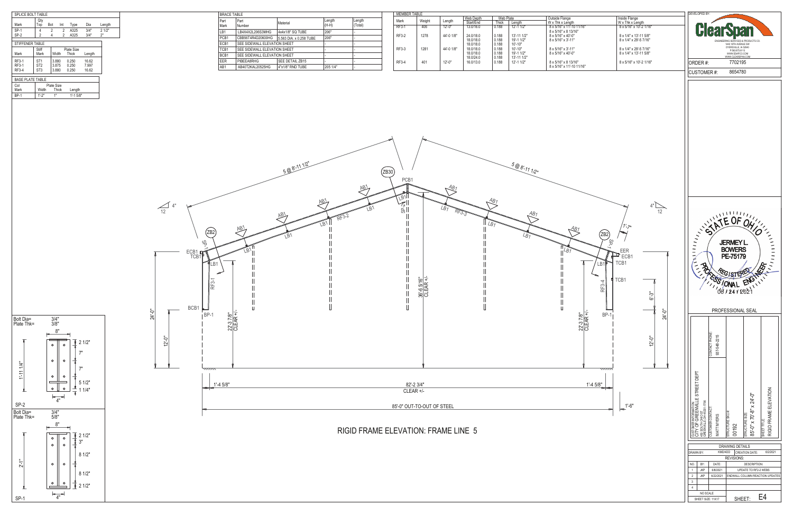

Bolt Dia= Plate Thk=

3/4" 5/8"

 $\begin{array}{c}\n\hline\n-4 \\
\hline\n\end{array}$ 

SP-1

 $2 - 1$ "

Bolt Dia= Plate Thk=

3/4" 3/8"

 $8"$ 

- o - II  $\circ$ 

 $\circ$  $\circ$ 

 $\equiv$ 

 $\circ$  $\circ$ 

 $=$  $\sqrt{2}$ 

 $8"$ 

 $\circ$  $\circ$ 

SP-2

 $\circ$  $\circ$ 

 $\circ$  $\circ$ 

 $\vdash$ <sup>4"</sup>

 $\circ$  ||  $\circ$   $\frac{1}{2}$  2 1/2"

1'-11 1/4"

| <b>MEMBER TABLE</b> |        |            |           |           |              |                                 |
|---------------------|--------|------------|-----------|-----------|--------------|---------------------------------|
|                     |        |            | Web Depth | Web Plate |              | Outside Flange                  |
| Mark                | Weight | Length     | Start/End | Thick     | Lenath       | W x Thk x Length                |
| $RF3-1$             | 406    | $12 - 0$ " | 13.0/16.0 | 0.188     | $12 - 11/2"$ | 8 x 5/16" x 11'-10 11/16"       |
|                     |        |            |           |           |              | 8 x 5/16" x 8 13/16"            |
| RF3-2               | 1278   | 44'-0 1/8" | 24.0/18.0 | 0.188     | 13'-11 1/2"  | $8 \times 5/16" \times 40'$ -0" |
|                     |        |            | 18.0/18.0 | 0.188     | 19'-1 1/2"   | $8 \times 5/16$ " x 3'-11"      |
|                     |        |            | 18.0/18.0 | 0.188     | $10' - 10"$  |                                 |
| RF3-3               | 1281   | 44'-0 1/8" | 18.0/18.0 | 0.188     | $10' - 10"$  | $8 \times 5/16$ " x 3'-11"      |
|                     |        |            | 18.0/18.0 | 0.188     | 19'-1 1/2"   | $8 \times 5/16" \times 40'$ -0" |
|                     |        |            | 18.0/24.0 | 0.188     | 13'-11 1/2"  |                                 |
| RF3-4               | 401    | $12 - 0$ " | 16.0/13.0 | 0.188     | 12'-1 1/2"   | 8 x 5/16" x 8 13/16"            |
|                     |        |            |           |           |              | 8 x 5/16" x 11'-10 11/16"       |
|                     |        |            |           |           |              |                                 |





| <b>BRACE TABLE</b> |                              |                         |                 |                   |
|--------------------|------------------------------|-------------------------|-----------------|-------------------|
| Part<br>Mark       | Part<br>Number               | Material                | Length<br>(H-H) | Length<br>(Total) |
| LB1                | LB4X4X2L206S3MHG             | 4x4x1/8" SQ TUBE        | 206"            |                   |
| PCB <sub>1</sub>   | CBB56T4R4D20600HG            | 5.563 DIA. x 0.258 TUBE | 206"            |                   |
| ECB1               | SEE SIDEWALL ELEVATION SHEET |                         |                 |                   |
| TCB <sub>1</sub>   | SEE SIDEWALL ELEVATION SHEET |                         |                 |                   |
| BCB <sub>1</sub>   | SEE SIDEWALL ELEVATION SHEET |                         |                 |                   |
| EER                | PIBEEA8RHG                   | SEE DETAIL ZB15         |                 |                   |
| AB1                | AB40T2KAL20525HG             | 4"x1/8" RND TUBE        | 205 1/4"        |                   |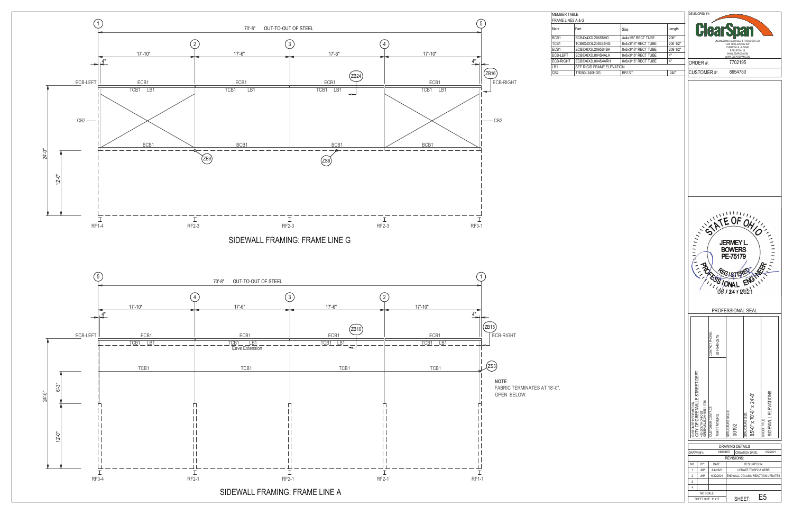| <b>MEMBER TABLE</b><br>FRAME LINES A & G |                           |                     |          | DEVELOPED BY:                                                                                                                                                                                                                                                                                                                                                                                                                                                                                                                                                                                                                            |
|------------------------------------------|---------------------------|---------------------|----------|------------------------------------------------------------------------------------------------------------------------------------------------------------------------------------------------------------------------------------------------------------------------------------------------------------------------------------------------------------------------------------------------------------------------------------------------------------------------------------------------------------------------------------------------------------------------------------------------------------------------------------------|
| Mark                                     | Part                      | Size                | Length   | <b>ClearSpan</b>                                                                                                                                                                                                                                                                                                                                                                                                                                                                                                                                                                                                                         |
| BCB1                                     | BCB4X4X2L206S5HG          | 4x4x1/8" RECT TUBE  | 206"     |                                                                                                                                                                                                                                                                                                                                                                                                                                                                                                                                                                                                                                          |
| TCB1                                     | TCB6X4X3L2065S4HG         | 6x4x3/16" RECT TUBE | 206 1/2" | ENGINEERING SERVICES & PRODUCTS CO.<br>1440 18TH AVENUE SW                                                                                                                                                                                                                                                                                                                                                                                                                                                                                                                                                                               |
| ECB1                                     | ECB8X6X3L2095S4BH         | 8x6x3/16" RECT TUBE | 209 1/2" | DYERSVILLE, IA 52040<br>P:563.875.6113                                                                                                                                                                                                                                                                                                                                                                                                                                                                                                                                                                                                   |
| ECB-LEFT                                 | ECB8X6X3L004S4ALH         | 8x6x3/16" RECT TUBE | 4"       | WWW.ESAPCO.COM<br>WWW.CLEARSPAN.COM                                                                                                                                                                                                                                                                                                                                                                                                                                                                                                                                                                                                      |
| ECB-RIGHT                                | ECB8X6X3L004S4ARH         | 8x6x3/16" RECT TUBE | 4"       | 7702195<br>ORDER #:                                                                                                                                                                                                                                                                                                                                                                                                                                                                                                                                                                                                                      |
| LB1                                      | SEE RIGID FRAME ELEVATION |                     |          |                                                                                                                                                                                                                                                                                                                                                                                                                                                                                                                                                                                                                                          |
| CB2                                      | TR050L240HDG              | BR1/2"              | 240"     | 8654780<br><b>CUSTOMER#:</b>                                                                                                                                                                                                                                                                                                                                                                                                                                                                                                                                                                                                             |
|                                          |                           |                     |          | ERMEYL BOWERS<br>FRANCONAL LA PROPERTY<br>PROFESSIONAL SEAL                                                                                                                                                                                                                                                                                                                                                                                                                                                                                                                                                                              |
| $"$ -0".                                 |                           |                     |          | CONTACT PHONE:<br>937-548-2215<br>CUSTOMER INFORMATION:<br>CITY OF GREENVILLE STREET DEPT<br>SIDEWALL ELEVATIONS<br>85'-0" x 70'-8" x 24'-0"<br>450 SOUTH OHIO ST<br>GREENVILLE, OH 45331-1756<br><b>CONTOMER CONTACT</b><br>STRUCTURE SKU #<br><b>STRUCTURE SIZE:</b><br>MATT MYERS<br>SHEET TITLE:<br>00192<br><b>DRAWING DETAILS</b><br>KMD/4DD<br><b>CREATION DATE:</b><br>DRAWN BY:<br>6/2/2021<br>REVISIONS:<br>DATE:<br>NO.<br>BY:<br><b>DESCRIPTION:</b><br><b>JKP</b><br>$\mathbf{1}$<br>6/8/2021<br>UPDATE TO RF2-2 WEBS<br>$\overline{2}$<br><b>JKP</b><br>6/22/2021<br>ENDWALL COLUMN REACTION UPDATES<br>3<br>4<br>NO SCALE |
|                                          |                           |                     |          | E <sub>5</sub><br>SHEET:<br>SHEET SIZE: 11X17                                                                                                                                                                                                                                                                                                                                                                                                                                                                                                                                                                                            |

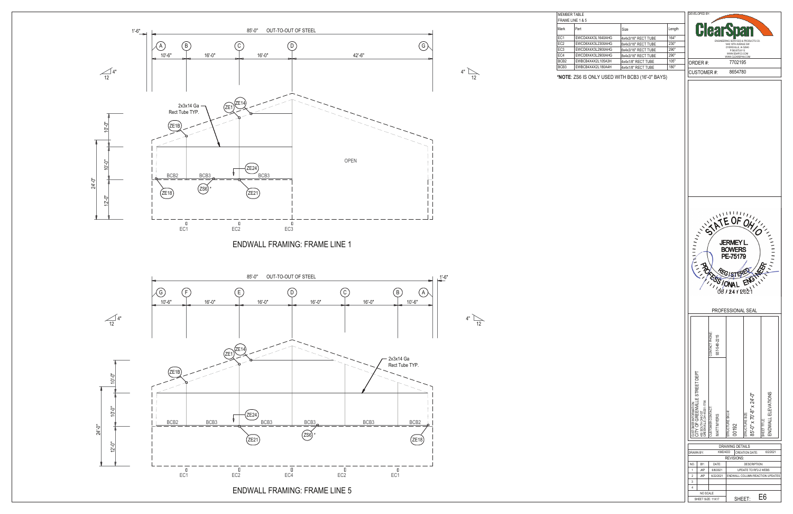EVELOPED B **Clea** ENGINEERING SERVICES & PRODUCTS CO. 1440 18TH AVENUE SW DYERSVILLE, IA 52040 P:563.875.6113 WWW.ESAPCO.COM WW.CLEARSPAN.CO 7702195 ORDER #: CUSTOMER #: 8654780

|                  |                   |           |                                 | <b>DRAWING DETAILS</b>            |    |  |  |
|------------------|-------------------|-----------|---------------------------------|-----------------------------------|----|--|--|
| <b>DRAWN BY:</b> |                   | KMD/4DD   |                                 | <b>CREATION DATE:</b><br>6/2/2021 |    |  |  |
|                  |                   |           |                                 | <b>REVISIONS:</b>                 |    |  |  |
| NO.              | BY:               | DATE:     | DESCRIPTION:                    |                                   |    |  |  |
|                  | <b>JKP</b>        | 6/8/2021  |                                 | <b>UPDATE TO RE2-2 WEBS</b>       |    |  |  |
| 2                | <b>JKP</b>        | 6/22/2021 | ENDWALL COLUMN REACTION UPDATES |                                   |    |  |  |
| 3                |                   |           |                                 |                                   |    |  |  |
| 4                |                   |           |                                 |                                   |    |  |  |
|                  | NO SCALE          |           |                                 |                                   |    |  |  |
|                  | SHEET SIZE: 11X17 |           |                                 | SHFFT:                            | E6 |  |  |



ENDWALL FRAMING: FRAME LINE 5



| MEMBER TABLE     |                   |                     |        |
|------------------|-------------------|---------------------|--------|
| FRAME LINE 1 & 5 |                   |                     |        |
| Mark             | Part              | Size                | Length |
| EC1              | EWCD4X4X3L1640AHG | 4x4x3/16" RECT TUBE | 164"   |
| EC <sub>2</sub>  | EWCD6X4X3L2300AHG | 6x4x3/16" RECT TUBE | 230"   |
| EC3              | EWCD6X4X3L2900AHG | 6x4x3/16" RECT TUBE | 290"   |
| EC4              | EWCD8X4X3L2900AHG | 8x4x3/16" RECT TUBE | 290"   |
| BCB2             | EWBCB4X4X2L105A3H | 4x4x1/8" RECT TUBE  | 105"   |
| BCB3             | EWBCB4X4X2L180A4H | 4x4x1/8" RECT TUBE  | 180"   |
|                  |                   |                     |        |

**\*NOTE**: ZS6 IS ONLY USED WITH BCB3 (16'-0" BAYS)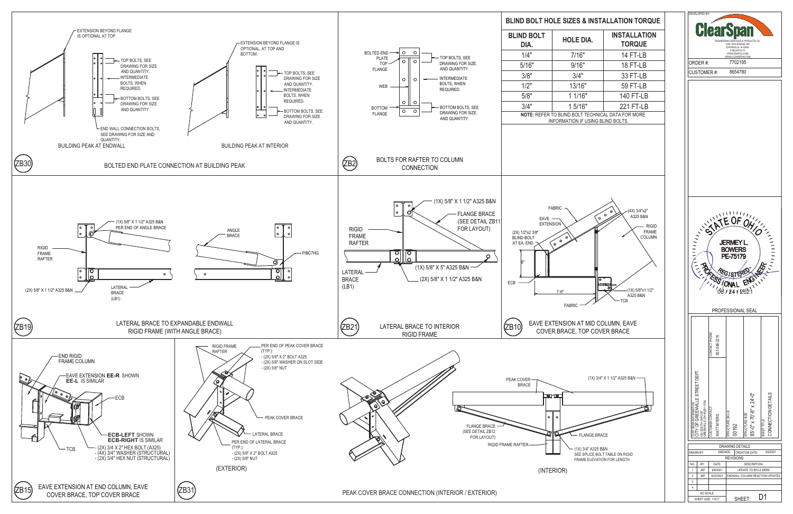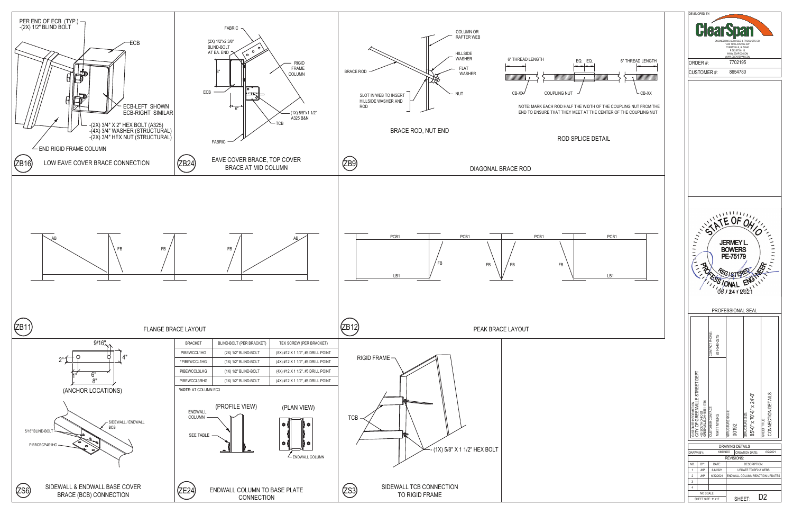